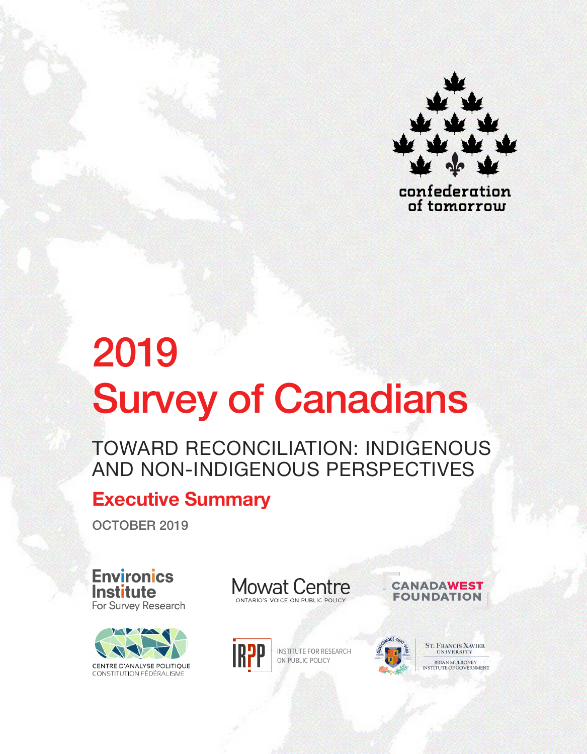

confederation of tomorrow

# 2019 Survey of Canadians

TOWARD RECONCILIATION: INDIGENOUS AND NON-INDIGENOUS PERSPECTIVES

# **Executive Summary**

OCTOBER 2019

**Environics Institute** For Survey Research



**Mowat Centre** ONTARIO'S VOICE ON PUBLIC POLICY



**INSTITUTE FOR RESEARCH** ON PUBLIC POLICY



**ST. FRANCIS XAVIER** BRIAN MULRONEY INSTITUTE OF GOVERNMENT

**CANADAWEST** 

**FOUNDATION**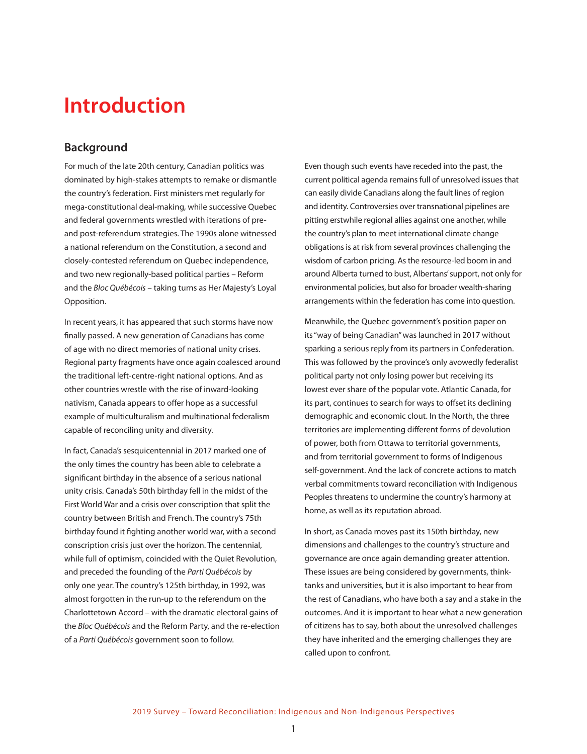# **Introduction**

## **Background**

For much of the late 20th century, Canadian politics was dominated by high-stakes attempts to remake or dismantle the country's federation. First ministers met regularly for mega-constitutional deal-making, while successive Quebec and federal governments wrestled with iterations of preand post-referendum strategies. The 1990s alone witnessed a national referendum on the Constitution, a second and closely-contested referendum on Quebec independence, and two new regionally-based political parties – Reform and the *Bloc Québécois* – taking turns as Her Majesty's Loyal Opposition.

In recent years, it has appeared that such storms have now finally passed. A new generation of Canadians has come of age with no direct memories of national unity crises. Regional party fragments have once again coalesced around the traditional left-centre-right national options. And as other countries wrestle with the rise of inward-looking nativism, Canada appears to offer hope as a successful example of multiculturalism and multinational federalism capable of reconciling unity and diversity.

In fact, Canada's sesquicentennial in 2017 marked one of the only times the country has been able to celebrate a significant birthday in the absence of a serious national unity crisis. Canada's 50th birthday fell in the midst of the First World War and a crisis over conscription that split the country between British and French. The country's 75th birthday found it fighting another world war, with a second conscription crisis just over the horizon. The centennial, while full of optimism, coincided with the Quiet Revolution, and preceded the founding of the *Parti Québécois* by only one year. The country's 125th birthday, in 1992, was almost forgotten in the run-up to the referendum on the Charlottetown Accord – with the dramatic electoral gains of the *Bloc Québécois* and the Reform Party, and the re-election of a *Parti Québécois* government soon to follow.

Even though such events have receded into the past, the current political agenda remains full of unresolved issues that can easily divide Canadians along the fault lines of region and identity. Controversies over transnational pipelines are pitting erstwhile regional allies against one another, while the country's plan to meet international climate change obligations is at risk from several provinces challenging the wisdom of carbon pricing. As the resource-led boom in and around Alberta turned to bust, Albertans' support, not only for environmental policies, but also for broader wealth-sharing arrangements within the federation has come into question.

Meanwhile, the Quebec government's position paper on its "way of being Canadian" was launched in 2017 without sparking a serious reply from its partners in Confederation. This was followed by the province's only avowedly federalist political party not only losing power but receiving its lowest ever share of the popular vote. Atlantic Canada, for its part, continues to search for ways to offset its declining demographic and economic clout. In the North, the three territories are implementing different forms of devolution of power, both from Ottawa to territorial governments, and from territorial government to forms of Indigenous self-government. And the lack of concrete actions to match verbal commitments toward reconciliation with Indigenous Peoples threatens to undermine the country's harmony at home, as well as its reputation abroad.

In short, as Canada moves past its 150th birthday, new dimensions and challenges to the country's structure and governance are once again demanding greater attention. These issues are being considered by governments, thinktanks and universities, but it is also important to hear from the rest of Canadians, who have both a say and a stake in the outcomes. And it is important to hear what a new generation of citizens has to say, both about the unresolved challenges they have inherited and the emerging challenges they are called upon to confront.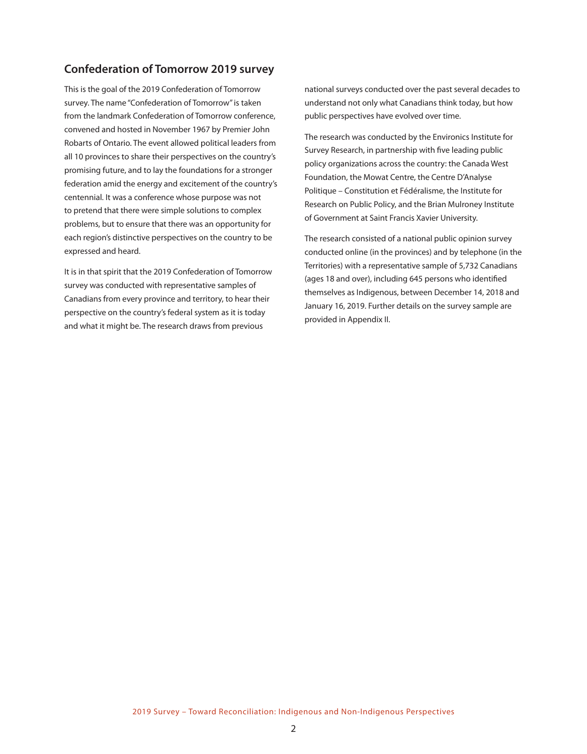## **Confederation of Tomorrow 2019 survey**

This is the goal of the 2019 Confederation of Tomorrow survey. The name "Confederation of Tomorrow" is taken from the landmark Confederation of Tomorrow conference, convened and hosted in November 1967 by Premier John Robarts of Ontario. The event allowed political leaders from all 10 provinces to share their perspectives on the country's promising future, and to lay the foundations for a stronger federation amid the energy and excitement of the country's centennial. It was a conference whose purpose was not to pretend that there were simple solutions to complex problems, but to ensure that there was an opportunity for each region's distinctive perspectives on the country to be expressed and heard.

It is in that spirit that the 2019 Confederation of Tomorrow survey was conducted with representative samples of Canadians from every province and territory, to hear their perspective on the country's federal system as it is today and what it might be. The research draws from previous

national surveys conducted over the past several decades to understand not only what Canadians think today, but how public perspectives have evolved over time.

The research was conducted by the Environics Institute for Survey Research, in partnership with five leading public policy organizations across the country: the Canada West Foundation, the Mowat Centre, the Centre D'Analyse Politique – Constitution et Fédéralisme, the Institute for Research on Public Policy, and the Brian Mulroney Institute of Government at Saint Francis Xavier University.

The research consisted of a national public opinion survey conducted online (in the provinces) and by telephone (in the Territories) with a representative sample of 5,732 Canadians (ages 18 and over), including 645 persons who identified themselves as Indigenous, between December 14, 2018 and January 16, 2019. Further details on the survey sample are provided in Appendix II.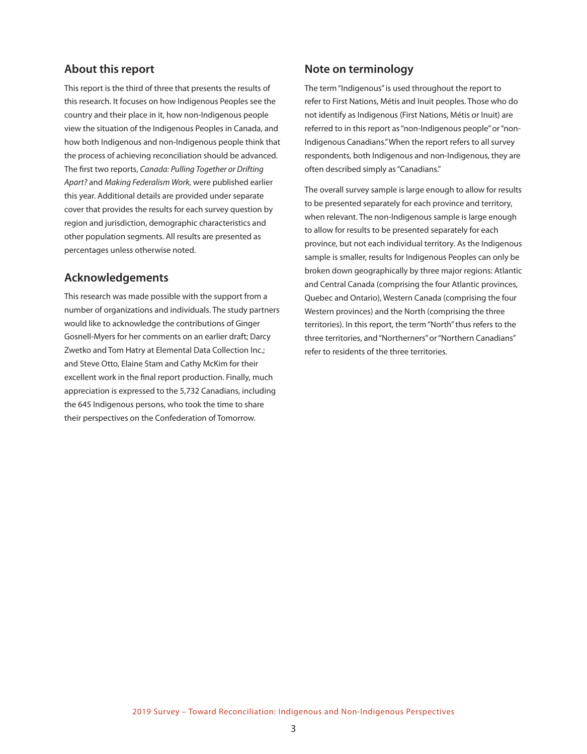## **About this report**

This report is the third of three that presents the results of this research. It focuses on how Indigenous Peoples see the country and their place in it, how non-Indigenous people view the situation of the Indigenous Peoples in Canada, and how both Indigenous and non-Indigenous people think that the process of achieving reconciliation should be advanced. The first two reports, *Canada: Pulling Together or Drifting Apart?* and *Making Federalism Work*, were published earlier this year. Additional details are provided under separate cover that provides the results for each survey question by region and jurisdiction, demographic characteristics and other population segments. All results are presented as percentages unless otherwise noted.

## **Acknowledgements**

This research was made possible with the support from a number of organizations and individuals. The study partners would like to acknowledge the contributions of Ginger Gosnell-Myers for her comments on an earlier draft; Darcy Zwetko and Tom Hatry at Elemental Data Collection Inc.; and Steve Otto, Elaine Stam and Cathy McKim for their excellent work in the final report production. Finally, much appreciation is expressed to the 5,732 Canadians, including the 645 Indigenous persons, who took the time to share their perspectives on the Confederation of Tomorrow.

# **Note on terminology**

The term "Indigenous" is used throughout the report to refer to First Nations, Métis and Inuit peoples. Those who do not identify as Indigenous (First Nations, Métis or Inuit) are referred to in this report as "non-Indigenous people" or "non-Indigenous Canadians." When the report refers to all survey respondents, both Indigenous and non-Indigenous, they are often described simply as "Canadians."

The overall survey sample is large enough to allow for results to be presented separately for each province and territory, when relevant. The non-Indigenous sample is large enough to allow for results to be presented separately for each province, but not each individual territory. As the Indigenous sample is smaller, results for Indigenous Peoples can only be broken down geographically by three major regions: Atlantic and Central Canada (comprising the four Atlantic provinces, Quebec and Ontario), Western Canada (comprising the four Western provinces) and the North (comprising the three territories). In this report, the term "North" thus refers to the three territories, and "Northerners" or "Northern Canadians" refer to residents of the three territories.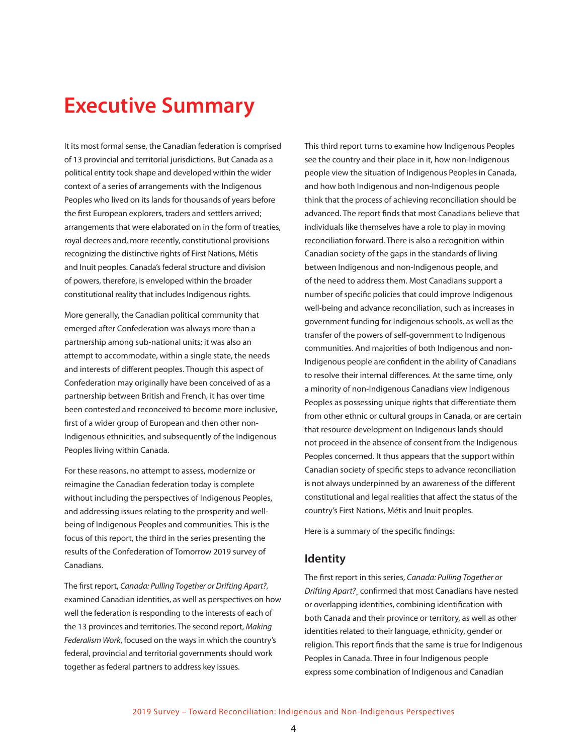# **Executive Summary**

It its most formal sense, the Canadian federation is comprised of 13 provincial and territorial jurisdictions. But Canada as a political entity took shape and developed within the wider context of a series of arrangements with the Indigenous Peoples who lived on its lands for thousands of years before the first European explorers, traders and settlers arrived; arrangements that were elaborated on in the form of treaties, royal decrees and, more recently, constitutional provisions recognizing the distinctive rights of First Nations, Métis and Inuit peoples. Canada's federal structure and division of powers, therefore, is enveloped within the broader constitutional reality that includes Indigenous rights.

More generally, the Canadian political community that emerged after Confederation was always more than a partnership among sub-national units; it was also an attempt to accommodate, within a single state, the needs and interests of different peoples. Though this aspect of Confederation may originally have been conceived of as a partnership between British and French, it has over time been contested and reconceived to become more inclusive, first of a wider group of European and then other non-Indigenous ethnicities, and subsequently of the Indigenous Peoples living within Canada.

For these reasons, no attempt to assess, modernize or reimagine the Canadian federation today is complete without including the perspectives of Indigenous Peoples, and addressing issues relating to the prosperity and wellbeing of Indigenous Peoples and communities. This is the focus of this report, the third in the series presenting the results of the Confederation of Tomorrow 2019 survey of Canadians.

The first report, *Canada: Pulling Together or Drifting Apart?*, examined Canadian identities, as well as perspectives on how well the federation is responding to the interests of each of the 13 provinces and territories. The second report, *Making Federalism Work*, focused on the ways in which the country's federal, provincial and territorial governments should work together as federal partners to address key issues.

This third report turns to examine how Indigenous Peoples see the country and their place in it, how non-Indigenous people view the situation of Indigenous Peoples in Canada, and how both Indigenous and non-Indigenous people think that the process of achieving reconciliation should be advanced. The report finds that most Canadians believe that individuals like themselves have a role to play in moving reconciliation forward. There is also a recognition within Canadian society of the gaps in the standards of living between Indigenous and non-Indigenous people, and of the need to address them. Most Canadians support a number of specific policies that could improve Indigenous well-being and advance reconciliation, such as increases in government funding for Indigenous schools, as well as the transfer of the powers of self-government to Indigenous communities. And majorities of both Indigenous and non-Indigenous people are confident in the ability of Canadians to resolve their internal differences. At the same time, only a minority of non-Indigenous Canadians view Indigenous Peoples as possessing unique rights that differentiate them from other ethnic or cultural groups in Canada, or are certain that resource development on Indigenous lands should not proceed in the absence of consent from the Indigenous Peoples concerned. It thus appears that the support within Canadian society of specific steps to advance reconciliation is not always underpinned by an awareness of the different constitutional and legal realities that affect the status of the country's First Nations, Métis and Inuit peoples.

Here is a summary of the specific findings:

#### **Identity**

The first report in this series, *Canada: Pulling Together or Drifting Apart?*¸ confirmed that most Canadians have nested or overlapping identities, combining identification with both Canada and their province or territory, as well as other identities related to their language, ethnicity, gender or religion. This report finds that the same is true for Indigenous Peoples in Canada. Three in four Indigenous people express some combination of Indigenous and Canadian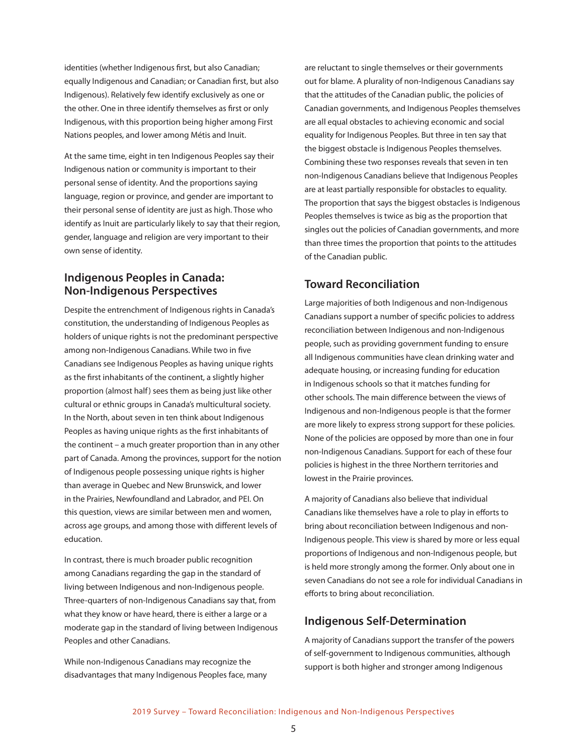identities (whether Indigenous first, but also Canadian; equally Indigenous and Canadian; or Canadian first, but also Indigenous). Relatively few identify exclusively as one or the other. One in three identify themselves as first or only Indigenous, with this proportion being higher among First Nations peoples, and lower among Métis and Inuit.

At the same time, eight in ten Indigenous Peoples say their Indigenous nation or community is important to their personal sense of identity. And the proportions saying language, region or province, and gender are important to their personal sense of identity are just as high. Those who identify as Inuit are particularly likely to say that their region, gender, language and religion are very important to their own sense of identity.

## **Indigenous Peoples in Canada: Non-Indigenous Perspectives**

Despite the entrenchment of Indigenous rights in Canada's constitution, the understanding of Indigenous Peoples as holders of unique rights is not the predominant perspective among non-Indigenous Canadians. While two in five Canadians see Indigenous Peoples as having unique rights as the first inhabitants of the continent, a slightly higher proportion (almost half) sees them as being just like other cultural or ethnic groups in Canada's multicultural society. In the North, about seven in ten think about Indigenous Peoples as having unique rights as the first inhabitants of the continent – a much greater proportion than in any other part of Canada. Among the provinces, support for the notion of Indigenous people possessing unique rights is higher than average in Quebec and New Brunswick, and lower in the Prairies, Newfoundland and Labrador, and PEI. On this question, views are similar between men and women, across age groups, and among those with different levels of education.

In contrast, there is much broader public recognition among Canadians regarding the gap in the standard of living between Indigenous and non-Indigenous people. Three-quarters of non-Indigenous Canadians say that, from what they know or have heard, there is either a large or a moderate gap in the standard of living between Indigenous Peoples and other Canadians.

While non-Indigenous Canadians may recognize the disadvantages that many Indigenous Peoples face, many are reluctant to single themselves or their governments out for blame. A plurality of non-Indigenous Canadians say that the attitudes of the Canadian public, the policies of Canadian governments, and Indigenous Peoples themselves are all equal obstacles to achieving economic and social equality for Indigenous Peoples. But three in ten say that the biggest obstacle is Indigenous Peoples themselves. Combining these two responses reveals that seven in ten non-Indigenous Canadians believe that Indigenous Peoples are at least partially responsible for obstacles to equality. The proportion that says the biggest obstacles is Indigenous Peoples themselves is twice as big as the proportion that singles out the policies of Canadian governments, and more than three times the proportion that points to the attitudes of the Canadian public.

# **Toward Reconciliation**

Large majorities of both Indigenous and non-Indigenous Canadians support a number of specific policies to address reconciliation between Indigenous and non-Indigenous people, such as providing government funding to ensure all Indigenous communities have clean drinking water and adequate housing, or increasing funding for education in Indigenous schools so that it matches funding for other schools. The main difference between the views of Indigenous and non-Indigenous people is that the former are more likely to express strong support for these policies. None of the policies are opposed by more than one in four non-Indigenous Canadians. Support for each of these four policies is highest in the three Northern territories and lowest in the Prairie provinces.

A majority of Canadians also believe that individual Canadians like themselves have a role to play in efforts to bring about reconciliation between Indigenous and non-Indigenous people. This view is shared by more or less equal proportions of Indigenous and non-Indigenous people, but is held more strongly among the former. Only about one in seven Canadians do not see a role for individual Canadians in efforts to bring about reconciliation.

#### **Indigenous Self-Determination**

A majority of Canadians support the transfer of the powers of self-government to Indigenous communities, although support is both higher and stronger among Indigenous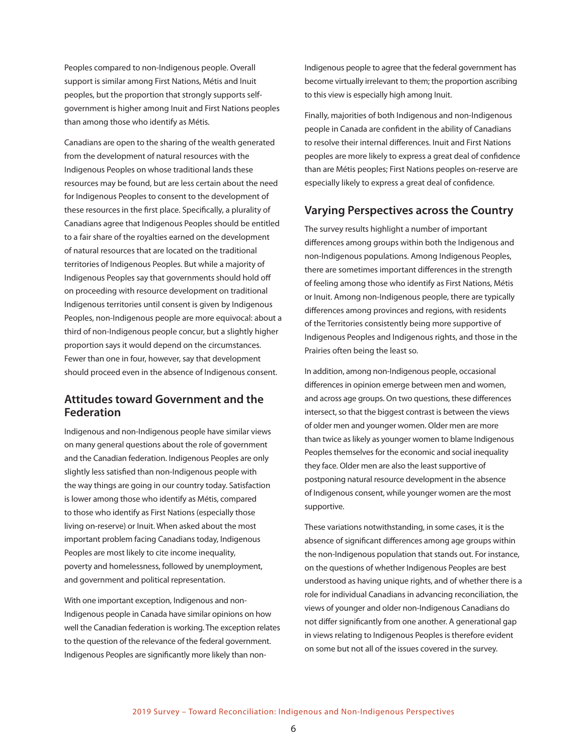Peoples compared to non-Indigenous people. Overall support is similar among First Nations, Métis and Inuit peoples, but the proportion that strongly supports selfgovernment is higher among Inuit and First Nations peoples than among those who identify as Métis.

Canadians are open to the sharing of the wealth generated from the development of natural resources with the Indigenous Peoples on whose traditional lands these resources may be found, but are less certain about the need for Indigenous Peoples to consent to the development of these resources in the first place. Specifically, a plurality of Canadians agree that Indigenous Peoples should be entitled to a fair share of the royalties earned on the development of natural resources that are located on the traditional territories of Indigenous Peoples. But while a majority of Indigenous Peoples say that governments should hold off on proceeding with resource development on traditional Indigenous territories until consent is given by Indigenous Peoples, non-Indigenous people are more equivocal: about a third of non-Indigenous people concur, but a slightly higher proportion says it would depend on the circumstances. Fewer than one in four, however, say that development should proceed even in the absence of Indigenous consent.

#### **Attitudes toward Government and the Federation**

Indigenous and non-Indigenous people have similar views on many general questions about the role of government and the Canadian federation. Indigenous Peoples are only slightly less satisfied than non-Indigenous people with the way things are going in our country today. Satisfaction is lower among those who identify as Métis, compared to those who identify as First Nations (especially those living on-reserve) or Inuit. When asked about the most important problem facing Canadians today, Indigenous Peoples are most likely to cite income inequality, poverty and homelessness, followed by unemployment, and government and political representation.

With one important exception, Indigenous and non-Indigenous people in Canada have similar opinions on how well the Canadian federation is working. The exception relates to the question of the relevance of the federal government. Indigenous Peoples are significantly more likely than nonIndigenous people to agree that the federal government has become virtually irrelevant to them; the proportion ascribing to this view is especially high among Inuit.

Finally, majorities of both Indigenous and non-Indigenous people in Canada are confident in the ability of Canadians to resolve their internal differences. Inuit and First Nations peoples are more likely to express a great deal of confidence than are Métis peoples; First Nations peoples on-reserve are especially likely to express a great deal of confidence.

#### **Varying Perspectives across the Country**

The survey results highlight a number of important differences among groups within both the Indigenous and non-Indigenous populations. Among Indigenous Peoples, there are sometimes important differences in the strength of feeling among those who identify as First Nations, Métis or Inuit. Among non-Indigenous people, there are typically differences among provinces and regions, with residents of the Territories consistently being more supportive of Indigenous Peoples and Indigenous rights, and those in the Prairies often being the least so.

In addition, among non-Indigenous people, occasional differences in opinion emerge between men and women, and across age groups. On two questions, these differences intersect, so that the biggest contrast is between the views of older men and younger women. Older men are more than twice as likely as younger women to blame Indigenous Peoples themselves for the economic and social inequality they face. Older men are also the least supportive of postponing natural resource development in the absence of Indigenous consent, while younger women are the most supportive.

These variations notwithstanding, in some cases, it is the absence of significant differences among age groups within the non-Indigenous population that stands out. For instance, on the questions of whether Indigenous Peoples are best understood as having unique rights, and of whether there is a role for individual Canadians in advancing reconciliation, the views of younger and older non-Indigenous Canadians do not differ significantly from one another. A generational gap in views relating to Indigenous Peoples is therefore evident on some but not all of the issues covered in the survey.